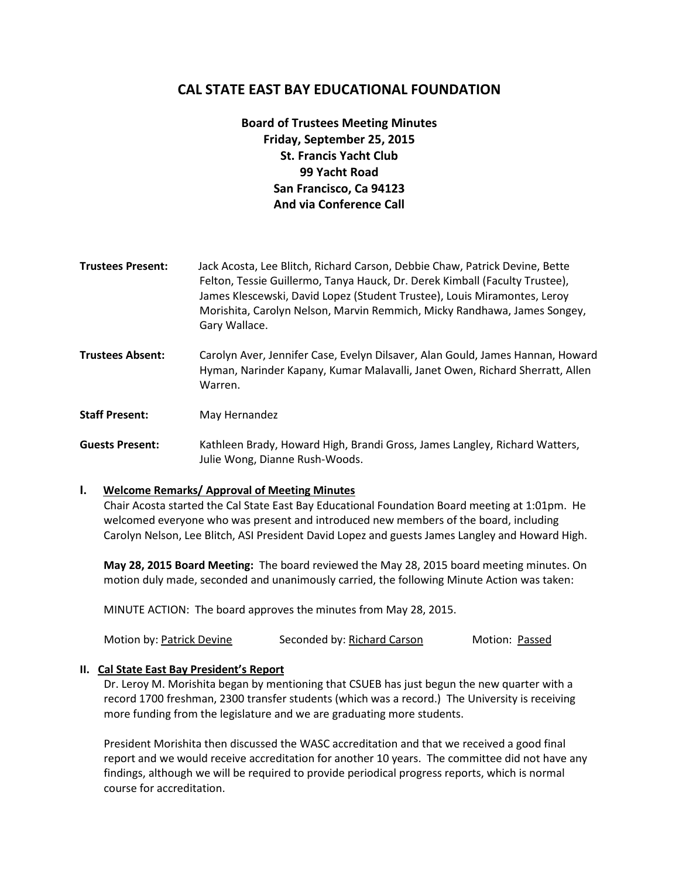# **CAL STATE EAST BAY EDUCATIONAL FOUNDATION**

# **Board of Trustees Meeting Minutes Friday, September 25, 2015 St. Francis Yacht Club 99 Yacht Road San Francisco, Ca 94123 And via Conference Call**

- **Trustees Present:** Jack Acosta, Lee Blitch, Richard Carson, Debbie Chaw, Patrick Devine, Bette Felton, Tessie Guillermo, Tanya Hauck, Dr. Derek Kimball (Faculty Trustee), James Klescewski, David Lopez (Student Trustee), Louis Miramontes, Leroy Morishita, Carolyn Nelson, Marvin Remmich, Micky Randhawa, James Songey, Gary Wallace.
- **Trustees Absent:** Carolyn Aver, Jennifer Case, Evelyn Dilsaver, Alan Gould, James Hannan, Howard Hyman, Narinder Kapany, Kumar Malavalli, Janet Owen, Richard Sherratt, Allen Warren.

**Staff Present:** May Hernandez

**Guests Present:** Kathleen Brady, Howard High, Brandi Gross, James Langley, Richard Watters, Julie Wong, Dianne Rush-Woods.

## **I. Welcome Remarks/ Approval of Meeting Minutes**

Chair Acosta started the Cal State East Bay Educational Foundation Board meeting at 1:01pm. He welcomed everyone who was present and introduced new members of the board, including Carolyn Nelson, Lee Blitch, ASI President David Lopez and guests James Langley and Howard High.

**May 28, 2015 Board Meeting:** The board reviewed the May 28, 2015 board meeting minutes. On motion duly made, seconded and unanimously carried, the following Minute Action was taken:

MINUTE ACTION: The board approves the minutes from May 28, 2015.

| Motion by: Patrick Devine | Seconded by: Richard Carson | Motion: Passed |
|---------------------------|-----------------------------|----------------|
|---------------------------|-----------------------------|----------------|

## **II. Cal State East Bay President's Report**

Dr. Leroy M. Morishita began by mentioning that CSUEB has just begun the new quarter with a record 1700 freshman, 2300 transfer students (which was a record.) The University is receiving more funding from the legislature and we are graduating more students.

President Morishita then discussed the WASC accreditation and that we received a good final report and we would receive accreditation for another 10 years. The committee did not have any findings, although we will be required to provide periodical progress reports, which is normal course for accreditation.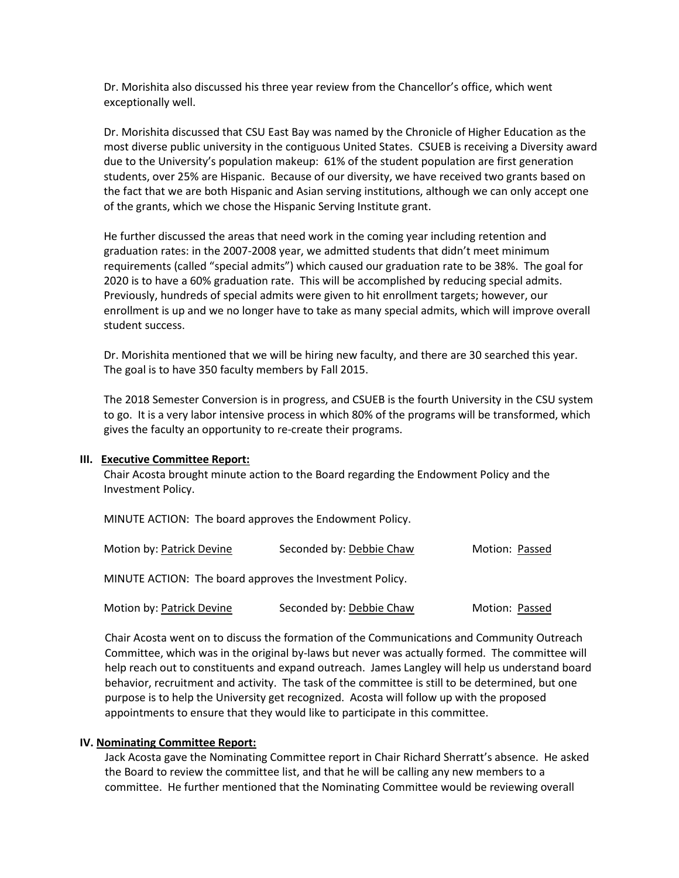Dr. Morishita also discussed his three year review from the Chancellor's office, which went exceptionally well.

Dr. Morishita discussed that CSU East Bay was named by the Chronicle of Higher Education as the most diverse public university in the contiguous United States. CSUEB is receiving a Diversity award due to the University's population makeup: 61% of the student population are first generation students, over 25% are Hispanic. Because of our diversity, we have received two grants based on the fact that we are both Hispanic and Asian serving institutions, although we can only accept one of the grants, which we chose the Hispanic Serving Institute grant.

He further discussed the areas that need work in the coming year including retention and graduation rates: in the 2007-2008 year, we admitted students that didn't meet minimum requirements (called "special admits") which caused our graduation rate to be 38%. The goal for 2020 is to have a 60% graduation rate. This will be accomplished by reducing special admits. Previously, hundreds of special admits were given to hit enrollment targets; however, our enrollment is up and we no longer have to take as many special admits, which will improve overall student success.

Dr. Morishita mentioned that we will be hiring new faculty, and there are 30 searched this year. The goal is to have 350 faculty members by Fall 2015.

The 2018 Semester Conversion is in progress, and CSUEB is the fourth University in the CSU system to go. It is a very labor intensive process in which 80% of the programs will be transformed, which gives the faculty an opportunity to re-create their programs.

#### **III. Executive Committee Report:**

Chair Acosta brought minute action to the Board regarding the Endowment Policy and the Investment Policy.

MINUTE ACTION: The board approves the Endowment Policy.

| Motion by: Patrick Devine | Seconded by: Debbie Chaw | Motion: Passed |
|---------------------------|--------------------------|----------------|
|---------------------------|--------------------------|----------------|

MINUTE ACTION: The board approves the Investment Policy.

| Motion by: Patrick Devine | Seconded by: Debbie Chaw | Motion: Passed |
|---------------------------|--------------------------|----------------|
|---------------------------|--------------------------|----------------|

Chair Acosta went on to discuss the formation of the Communications and Community Outreach Committee, which was in the original by-laws but never was actually formed. The committee will help reach out to constituents and expand outreach. James Langley will help us understand board behavior, recruitment and activity. The task of the committee is still to be determined, but one purpose is to help the University get recognized. Acosta will follow up with the proposed appointments to ensure that they would like to participate in this committee.

#### **IV. Nominating Committee Report:**

Jack Acosta gave the Nominating Committee report in Chair Richard Sherratt's absence. He asked the Board to review the committee list, and that he will be calling any new members to a committee. He further mentioned that the Nominating Committee would be reviewing overall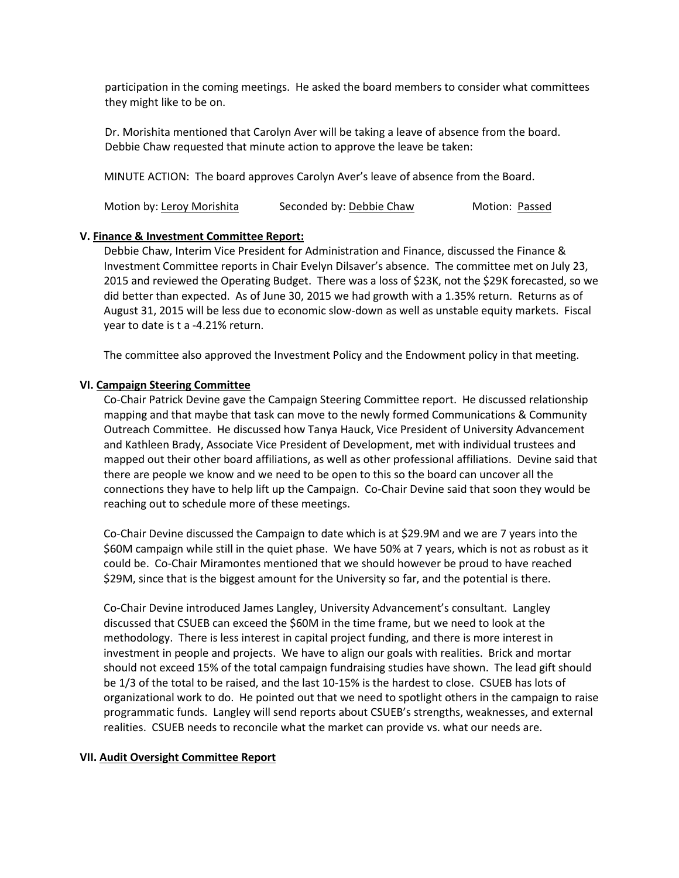participation in the coming meetings. He asked the board members to consider what committees they might like to be on.

Dr. Morishita mentioned that Carolyn Aver will be taking a leave of absence from the board. Debbie Chaw requested that minute action to approve the leave be taken:

MINUTE ACTION: The board approves Carolyn Aver's leave of absence from the Board.

| Motion by: Leroy Morishita | Seconded by: Debbie Chaw | Motion: Passed |
|----------------------------|--------------------------|----------------|
|----------------------------|--------------------------|----------------|

#### **V. Finance & Investment Committee Report:**

Debbie Chaw, Interim Vice President for Administration and Finance, discussed the Finance & Investment Committee reports in Chair Evelyn Dilsaver's absence. The committee met on July 23, 2015 and reviewed the Operating Budget. There was a loss of \$23K, not the \$29K forecasted, so we did better than expected. As of June 30, 2015 we had growth with a 1.35% return. Returns as of August 31, 2015 will be less due to economic slow-down as well as unstable equity markets. Fiscal year to date is t a -4.21% return.

The committee also approved the Investment Policy and the Endowment policy in that meeting.

#### **VI. Campaign Steering Committee**

Co-Chair Patrick Devine gave the Campaign Steering Committee report. He discussed relationship mapping and that maybe that task can move to the newly formed Communications & Community Outreach Committee. He discussed how Tanya Hauck, Vice President of University Advancement and Kathleen Brady, Associate Vice President of Development, met with individual trustees and mapped out their other board affiliations, as well as other professional affiliations. Devine said that there are people we know and we need to be open to this so the board can uncover all the connections they have to help lift up the Campaign. Co-Chair Devine said that soon they would be reaching out to schedule more of these meetings.

Co-Chair Devine discussed the Campaign to date which is at \$29.9M and we are 7 years into the \$60M campaign while still in the quiet phase. We have 50% at 7 years, which is not as robust as it could be. Co-Chair Miramontes mentioned that we should however be proud to have reached \$29M, since that is the biggest amount for the University so far, and the potential is there.

Co-Chair Devine introduced James Langley, University Advancement's consultant. Langley discussed that CSUEB can exceed the \$60M in the time frame, but we need to look at the methodology. There is less interest in capital project funding, and there is more interest in investment in people and projects. We have to align our goals with realities. Brick and mortar should not exceed 15% of the total campaign fundraising studies have shown. The lead gift should be 1/3 of the total to be raised, and the last 10-15% is the hardest to close. CSUEB has lots of organizational work to do. He pointed out that we need to spotlight others in the campaign to raise programmatic funds. Langley will send reports about CSUEB's strengths, weaknesses, and external realities. CSUEB needs to reconcile what the market can provide vs. what our needs are.

#### **VII. Audit Oversight Committee Report**